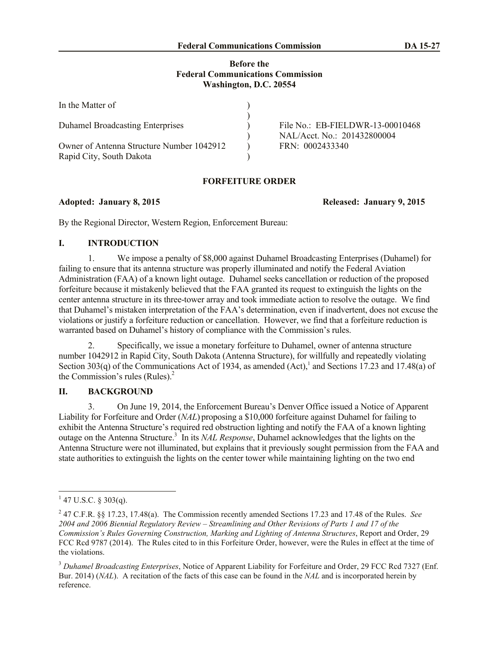## **Before the Federal Communications Commission Washington, D.C. 20554**

| In the Matter of                                                      |                                                                 |
|-----------------------------------------------------------------------|-----------------------------------------------------------------|
| <b>Duhamel Broadcasting Enterprises</b>                               | File No.: EB-FIELDWR-13-00010468<br>NAL/Acct. No.: 201432800004 |
| Owner of Antenna Structure Number 1042912<br>Rapid City, South Dakota | FRN: 0002433340                                                 |

# **FORFEITURE ORDER**

**Adopted: January 8, 2015 Released: January 9, 2015**

By the Regional Director, Western Region, Enforcement Bureau:

## **I. INTRODUCTION**

1. We impose a penalty of \$8,000 against Duhamel Broadcasting Enterprises (Duhamel) for failing to ensure that its antenna structure was properly illuminated and notify the Federal Aviation Administration (FAA) of a known light outage. Duhamel seeks cancellation or reduction of the proposed forfeiture because it mistakenly believed that the FAA granted its request to extinguish the lights on the center antenna structure in its three-tower array and took immediate action to resolve the outage. We find that Duhamel's mistaken interpretation of the FAA's determination, even if inadvertent, does not excuse the violations or justify a forfeiture reduction or cancellation. However, we find that a forfeiture reduction is warranted based on Duhamel's history of compliance with the Commission's rules.

2. Specifically, we issue a monetary forfeiture to Duhamel, owner of antenna structure number 1042912 in Rapid City, South Dakota (Antenna Structure), for willfully and repeatedly violating Section 303(q) of the Communications Act of 1934, as amended  $(Act)$ , and Sections 17.23 and 17.48(a) of the Commission's rules (Rules). 2

## **II. BACKGROUND**

3. On June 19, 2014, the Enforcement Bureau's Denver Office issued a Notice of Apparent Liability for Forfeiture and Order (*NAL*) proposing a \$10,000 forfeiture against Duhamel for failing to exhibit the Antenna Structure's required red obstruction lighting and notify the FAA of a known lighting outage on the Antenna Structure.<sup>3</sup> In its *NAL Response*, Duhamel acknowledges that the lights on the Antenna Structure were not illuminated, but explains that it previously sought permission from the FAA and state authorities to extinguish the lights on the center tower while maintaining lighting on the two end

 $1\overline{47 \text{ U.S.C. } }$ § 303(q).

<sup>2</sup> 47 C.F.R. §§ 17.23, 17.48(a). The Commission recently amended Sections 17.23 and 17.48 of the Rules. *See 2004 and 2006 Biennial Regulatory Review – Streamlining and Other Revisions of Parts 1 and 17 of the Commission's Rules Governing Construction, Marking and Lighting of Antenna Structures*, Report and Order, 29 FCC Rcd 9787 (2014). The Rules cited to in this Forfeiture Order, however, were the Rules in effect at the time of the violations.

<sup>3</sup> *Duhamel Broadcasting Enterprises*, Notice of Apparent Liability for Forfeiture and Order, 29 FCC Rcd 7327 (Enf. Bur. 2014) (*NAL*). A recitation of the facts of this case can be found in the *NAL* and is incorporated herein by reference.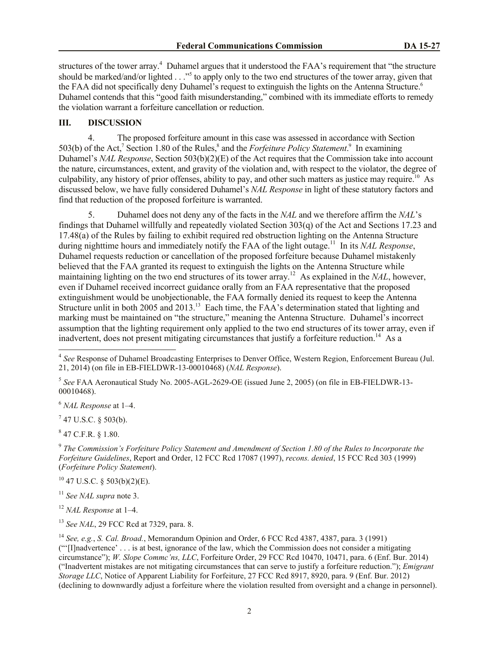structures of the tower array.<sup>4</sup> Duhamel argues that it understood the FAA's requirement that "the structure" should be marked/and/or lighted . . ."<sup>5</sup> to apply only to the two end structures of the tower array, given that the FAA did not specifically deny Duhamel's request to extinguish the lights on the Antenna Structure.<sup>6</sup> Duhamel contends that this "good faith misunderstanding," combined with its immediate efforts to remedy the violation warrant a forfeiture cancellation or reduction.

## **III. DISCUSSION**

4. The proposed forfeiture amount in this case was assessed in accordance with Section 503(b) of the Act,<sup>7</sup> Section 1.80 of the Rules,<sup>8</sup> and the *Forfeiture Policy Statement*.<sup>9</sup> In examining Duhamel's *NAL Response*, Section 503(b)(2)(E) of the Act requires that the Commission take into account the nature, circumstances, extent, and gravity of the violation and, with respect to the violator, the degree of culpability, any history of prior offenses, ability to pay, and other such matters as justice may require.<sup>10</sup> As discussed below, we have fully considered Duhamel's *NAL Response* in light of these statutory factors and find that reduction of the proposed forfeiture is warranted.

5. Duhamel does not deny any of the facts in the *NAL* and we therefore affirm the *NAL*'s findings that Duhamel willfully and repeatedly violated Section 303(q) of the Act and Sections 17.23 and 17.48(a) of the Rules by failing to exhibit required red obstruction lighting on the Antenna Structure during nighttime hours and immediately notify the FAA of the light outage. 11 In its *NAL Response*, Duhamel requests reduction or cancellation of the proposed forfeiture because Duhamel mistakenly believed that the FAA granted its request to extinguish the lights on the Antenna Structure while maintaining lighting on the two end structures of its tower array. 12 As explained in the *NAL*, however, even if Duhamel received incorrect guidance orally from an FAA representative that the proposed extinguishment would be unobjectionable, the FAA formally denied its request to keep the Antenna Structure unlit in both 2005 and 2013.<sup>13</sup> Each time, the FAA's determination stated that lighting and marking must be maintained on "the structure," meaning the Antenna Structure. Duhamel's incorrect assumption that the lighting requirement only applied to the two end structures of its tower array, even if inadvertent, does not present mitigating circumstances that justify a forfeiture reduction.<sup>14</sup> As a

<sup>6</sup> *NAL Response* at 1–4.

 $7$  47 U.S.C. § 503(b).

 $847$  C.F.R. § 1.80.

9 *The Commission's Forfeiture Policy Statement and Amendment of Section 1.80 of the Rules to Incorporate the Forfeiture Guidelines*, Report and Order, 12 FCC Rcd 17087 (1997), *recons. denied*, 15 FCC Rcd 303 (1999) (*Forfeiture Policy Statement*).

 $10$  47 U.S.C. § 503(b)(2)(E).

<sup>11</sup> *See NAL supra* note 3.

<sup>12</sup> *NAL Response* at 1–4.

<sup>13</sup> *See NAL*, 29 FCC Rcd at 7329, para. 8.

<sup>14</sup> *See, e.g.*, *S. Cal. Broad.*, Memorandum Opinion and Order, 6 FCC Rcd 4387, 4387, para. 3 (1991) ("'[I]nadvertence' . . . is at best, ignorance of the law, which the Commission does not consider a mitigating circumstance"); *W. Slope Commc'ns, LLC*, Forfeiture Order, 29 FCC Rcd 10470, 10471, para. 6 (Enf. Bur. 2014) ("Inadvertent mistakes are not mitigating circumstances that can serve to justify a forfeiture reduction."); *Emigrant Storage LLC*, Notice of Apparent Liability for Forfeiture, 27 FCC Rcd 8917, 8920, para. 9 (Enf. Bur. 2012) (declining to downwardly adjust a forfeiture where the violation resulted from oversight and a change in personnel).

<sup>&</sup>lt;sup>4</sup> See Response of Duhamel Broadcasting Enterprises to Denver Office, Western Region, Enforcement Bureau (Jul. 21, 2014) (on file in EB-FIELDWR-13-00010468) (*NAL Response*).

<sup>5</sup> *See* FAA Aeronautical Study No. 2005-AGL-2629-OE (issued June 2, 2005) (on file in EB-FIELDWR-13- 00010468).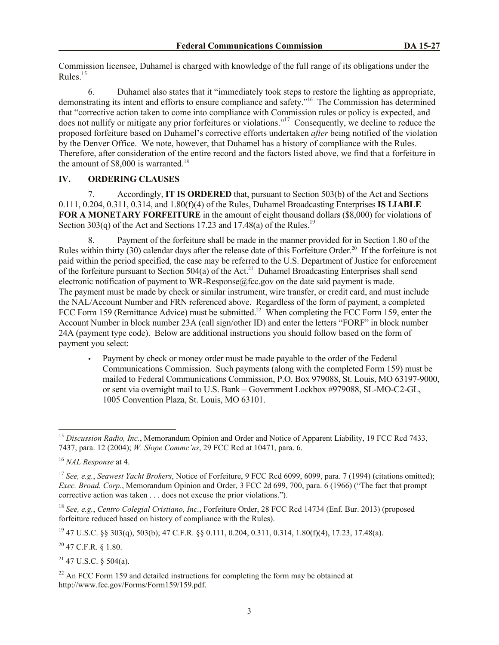Commission licensee, Duhamel is charged with knowledge of the full range of its obligations under the Rules. $15$ 

6. Duhamel also states that it "immediately took steps to restore the lighting as appropriate, demonstrating its intent and efforts to ensure compliance and safety."<sup>16</sup> The Commission has determined that "corrective action taken to come into compliance with Commission rules or policy is expected, and does not nullify or mitigate any prior forfeitures or violations."<sup>17</sup> Consequently, we decline to reduce the proposed forfeiture based on Duhamel's corrective efforts undertaken *after* being notified of the violation by the Denver Office. We note, however, that Duhamel has a history of compliance with the Rules. Therefore, after consideration of the entire record and the factors listed above, we find that a forfeiture in the amount of  $$8,000$  is warranted.<sup>18</sup>

## **IV. ORDERING CLAUSES**

7. Accordingly, **IT IS ORDERED** that, pursuant to Section 503(b) of the Act and Sections 0.111, 0.204, 0.311, 0.314, and 1.80(f)(4) of the Rules, Duhamel Broadcasting Enterprises **IS LIABLE FOR A MONETARY FORFEITURE** in the amount of eight thousand dollars (\$8,000) for violations of Section 303(q) of the Act and Sections 17.23 and 17.48(a) of the Rules.<sup>19</sup>

8. Payment of the forfeiture shall be made in the manner provided for in Section 1.80 of the Rules within thirty (30) calendar days after the release date of this Forfeiture Order.<sup>20</sup> If the forfeiture is not paid within the period specified, the case may be referred to the U.S. Department of Justice for enforcement of the forfeiture pursuant to Section 504(a) of the Act.<sup>21</sup> Duhamel Broadcasting Enterprises shall send electronic notification of payment to WR-Response@fcc.gov on the date said payment is made. The payment must be made by check or similar instrument, wire transfer, or credit card, and must include the NAL/Account Number and FRN referenced above. Regardless of the form of payment, a completed FCC Form 159 (Remittance Advice) must be submitted.<sup>22</sup> When completing the FCC Form 159, enter the Account Number in block number 23A (call sign/other ID) and enter the letters "FORF" in block number 24A (payment type code). Below are additional instructions you should follow based on the form of payment you select:

 Payment by check or money order must be made payable to the order of the Federal Communications Commission. Such payments (along with the completed Form 159) must be mailed to Federal Communications Commission, P.O. Box 979088, St. Louis, MO 63197-9000, or sent via overnight mail to U.S. Bank – Government Lockbox #979088, SL-MO-C2-GL, 1005 Convention Plaza, St. Louis, MO 63101.

 $\overline{a}$ 

 $^{19}$  47 U.S.C. §§ 303(q), 503(b); 47 C.F.R. §§ 0.111, 0.204, 0.311, 0.314, 1.80(f)(4), 17.23, 17.48(a).

<sup>20</sup> 47 C.F.R. § 1.80.

 $21$  47 U.S.C. § 504(a).

<sup>&</sup>lt;sup>15</sup> Discussion Radio, Inc., Memorandum Opinion and Order and Notice of Apparent Liability, 19 FCC Rcd 7433, 7437, para. 12 (2004); *W. Slope Commc'ns*, 29 FCC Rcd at 10471, para. 6.

<sup>16</sup> *NAL Response* at 4.

<sup>17</sup> *See, e.g.*, *Seawest Yacht Brokers*, Notice of Forfeiture, 9 FCC Rcd 6099, 6099, para. 7 (1994) (citations omitted); *Exec. Broad. Corp.*, Memorandum Opinion and Order, 3 FCC 2d 699, 700, para. 6 (1966) ("The fact that prompt corrective action was taken . . . does not excuse the prior violations.").

<sup>18</sup> *See, e.g.*, *Centro Colegial Cristiano, Inc.*, Forfeiture Order, 28 FCC Rcd 14734 (Enf. Bur. 2013) (proposed forfeiture reduced based on history of compliance with the Rules).

 $22$  An FCC Form 159 and detailed instructions for completing the form may be obtained at http://www.fcc.gov/Forms/Form159/159.pdf.